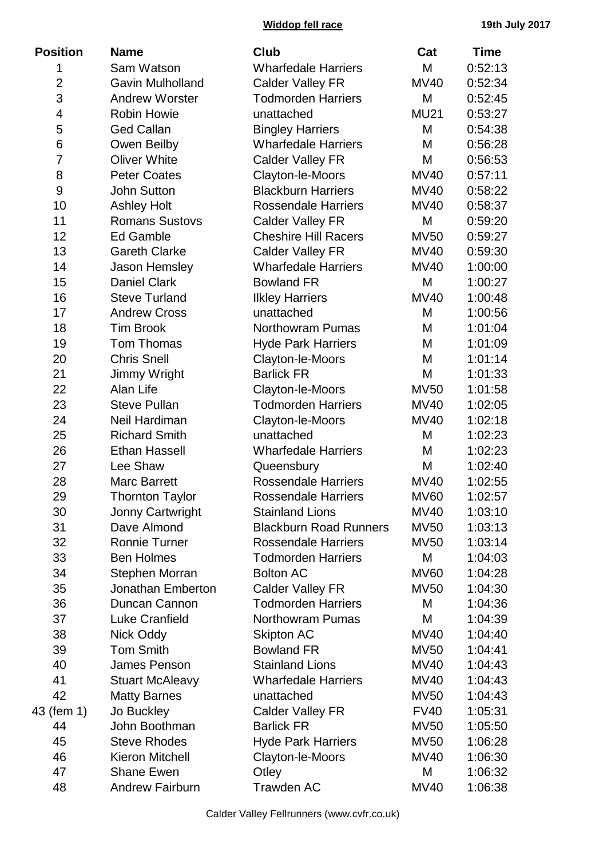| <b>Position</b> | <b>Name</b>             | <b>Club</b>                   | Cat         | <b>Time</b> |
|-----------------|-------------------------|-------------------------------|-------------|-------------|
| 1               | Sam Watson              | <b>Wharfedale Harriers</b>    | M           | 0:52:13     |
| $\overline{2}$  | <b>Gavin Mulholland</b> | <b>Calder Valley FR</b>       | <b>MV40</b> | 0:52:34     |
| 3               | <b>Andrew Worster</b>   | <b>Todmorden Harriers</b>     | M           | 0:52:45     |
| 4               | <b>Robin Howie</b>      | unattached                    | <b>MU21</b> | 0:53:27     |
| 5               | <b>Ged Callan</b>       | <b>Bingley Harriers</b>       | M           | 0:54:38     |
| 6               | Owen Beilby             | <b>Wharfedale Harriers</b>    | M           | 0:56:28     |
| $\overline{7}$  | <b>Oliver White</b>     | <b>Calder Valley FR</b>       | M           | 0:56:53     |
| 8               | <b>Peter Coates</b>     | Clayton-le-Moors              | <b>MV40</b> | 0:57:11     |
| 9               | <b>John Sutton</b>      | <b>Blackburn Harriers</b>     | <b>MV40</b> | 0:58:22     |
| 10              | <b>Ashley Holt</b>      | <b>Rossendale Harriers</b>    | <b>MV40</b> | 0:58:37     |
| 11              | <b>Romans Sustovs</b>   | <b>Calder Valley FR</b>       | M           | 0:59:20     |
| 12              | Ed Gamble               | <b>Cheshire Hill Racers</b>   | <b>MV50</b> | 0:59:27     |
| 13              | <b>Gareth Clarke</b>    | <b>Calder Valley FR</b>       | <b>MV40</b> | 0:59:30     |
| 14              | <b>Jason Hemsley</b>    | <b>Wharfedale Harriers</b>    | <b>MV40</b> | 1:00:00     |
| 15              | <b>Daniel Clark</b>     | <b>Bowland FR</b>             | M           | 1:00:27     |
| 16              | <b>Steve Turland</b>    | <b>Ilkley Harriers</b>        | <b>MV40</b> | 1:00:48     |
| 17              | <b>Andrew Cross</b>     | unattached                    | M           | 1:00:56     |
| 18              | <b>Tim Brook</b>        | <b>Northowram Pumas</b>       | M           | 1:01:04     |
| 19              | Tom Thomas              | <b>Hyde Park Harriers</b>     | M           | 1:01:09     |
| 20              | <b>Chris Snell</b>      | Clayton-le-Moors              | M           | 1:01:14     |
| 21              | Jimmy Wright            | <b>Barlick FR</b>             | M           | 1:01:33     |
| 22              | Alan Life               | Clayton-le-Moors              | <b>MV50</b> | 1:01:58     |
| 23              | <b>Steve Pullan</b>     | <b>Todmorden Harriers</b>     | <b>MV40</b> | 1:02:05     |
| 24              | Neil Hardiman           | Clayton-le-Moors              | <b>MV40</b> | 1:02:18     |
| 25              | <b>Richard Smith</b>    | unattached                    | M           | 1:02:23     |
| 26              | <b>Ethan Hassell</b>    | <b>Wharfedale Harriers</b>    | M           | 1:02:23     |
| 27              | Lee Shaw                | Queensbury                    | M           | 1:02:40     |
| 28              | <b>Marc Barrett</b>     | <b>Rossendale Harriers</b>    | <b>MV40</b> | 1:02:55     |
| 29              | <b>Thornton Taylor</b>  | <b>Rossendale Harriers</b>    | <b>MV60</b> | 1:02:57     |
| 30              | <b>Jonny Cartwright</b> | <b>Stainland Lions</b>        | <b>MV40</b> | 1:03:10     |
| 31              | Dave Almond             | <b>Blackburn Road Runners</b> | <b>MV50</b> | 1:03:13     |
| 32              | <b>Ronnie Turner</b>    | <b>Rossendale Harriers</b>    | <b>MV50</b> | 1:03:14     |
| 33              | <b>Ben Holmes</b>       | <b>Todmorden Harriers</b>     | M           | 1:04:03     |
| 34              | Stephen Morran          | <b>Bolton AC</b>              | <b>MV60</b> | 1:04:28     |
| 35              | Jonathan Emberton       | <b>Calder Valley FR</b>       | <b>MV50</b> | 1:04:30     |
| 36              | Duncan Cannon           | <b>Todmorden Harriers</b>     | M           | 1:04:36     |
| 37              | <b>Luke Cranfield</b>   | <b>Northowram Pumas</b>       | M           | 1:04:39     |
| 38              | Nick Oddy               | <b>Skipton AC</b>             | <b>MV40</b> | 1:04:40     |
| 39              | <b>Tom Smith</b>        | <b>Bowland FR</b>             | <b>MV50</b> | 1:04:41     |
| 40              | James Penson            | <b>Stainland Lions</b>        | MV40        | 1:04:43     |
| 41              | <b>Stuart McAleavy</b>  | <b>Wharfedale Harriers</b>    | MV40        | 1:04:43     |
| 42              | <b>Matty Barnes</b>     | unattached                    | <b>MV50</b> | 1:04:43     |
| 43 (fem 1)      | Jo Buckley              | <b>Calder Valley FR</b>       | <b>FV40</b> | 1:05:31     |
| 44              | John Boothman           | <b>Barlick FR</b>             | <b>MV50</b> | 1:05:50     |
| 45              | <b>Steve Rhodes</b>     | <b>Hyde Park Harriers</b>     | <b>MV50</b> | 1:06:28     |
| 46              | <b>Kieron Mitchell</b>  | Clayton-le-Moors              | <b>MV40</b> | 1:06:30     |
| 47              | <b>Shane Ewen</b>       | Otley                         | M           | 1:06:32     |
| 48              | <b>Andrew Fairburn</b>  | Trawden AC                    | <b>MV40</b> | 1:06:38     |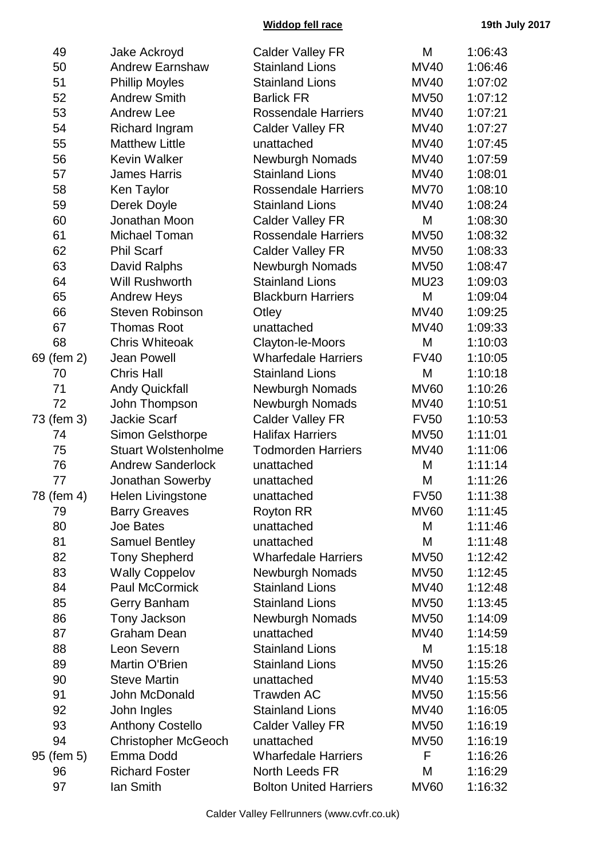## **Widdop fell race 19th July 2017**

| 49         | Jake Ackroyd               | <b>Calder Valley FR</b>       | M           | 1:06:43 |
|------------|----------------------------|-------------------------------|-------------|---------|
| 50         | <b>Andrew Earnshaw</b>     | <b>Stainland Lions</b>        | <b>MV40</b> | 1:06:46 |
| 51         | <b>Phillip Moyles</b>      | <b>Stainland Lions</b>        | MV40        | 1:07:02 |
| 52         | <b>Andrew Smith</b>        | <b>Barlick FR</b>             | <b>MV50</b> | 1:07:12 |
| 53         | <b>Andrew Lee</b>          | <b>Rossendale Harriers</b>    | MV40        | 1:07:21 |
| 54         | Richard Ingram             | <b>Calder Valley FR</b>       | MV40        | 1:07:27 |
| 55         | <b>Matthew Little</b>      | unattached                    | MV40        | 1:07:45 |
| 56         | <b>Kevin Walker</b>        | <b>Newburgh Nomads</b>        | MV40        | 1:07:59 |
| 57         | <b>James Harris</b>        | <b>Stainland Lions</b>        | MV40        | 1:08:01 |
| 58         | Ken Taylor                 | <b>Rossendale Harriers</b>    | <b>MV70</b> | 1:08:10 |
| 59         | Derek Doyle                | <b>Stainland Lions</b>        | MV40        | 1:08:24 |
| 60         | Jonathan Moon              | <b>Calder Valley FR</b>       | M           | 1:08:30 |
| 61         | Michael Toman              | <b>Rossendale Harriers</b>    | <b>MV50</b> | 1:08:32 |
| 62         | <b>Phil Scarf</b>          | <b>Calder Valley FR</b>       | MV50        | 1:08:33 |
| 63         | David Ralphs               | <b>Newburgh Nomads</b>        | <b>MV50</b> | 1:08:47 |
| 64         | <b>Will Rushworth</b>      | <b>Stainland Lions</b>        | <b>MU23</b> | 1:09:03 |
| 65         | <b>Andrew Heys</b>         | <b>Blackburn Harriers</b>     | M           | 1:09:04 |
| 66         | <b>Steven Robinson</b>     | Otley                         | <b>MV40</b> | 1:09:25 |
| 67         | <b>Thomas Root</b>         | unattached                    | <b>MV40</b> | 1:09:33 |
| 68         | <b>Chris Whiteoak</b>      | Clayton-le-Moors              | M           | 1:10:03 |
| 69 (fem 2) | <b>Jean Powell</b>         | <b>Wharfedale Harriers</b>    | <b>FV40</b> | 1:10:05 |
| 70         | <b>Chris Hall</b>          | <b>Stainland Lions</b>        | M           | 1:10:18 |
| 71         | <b>Andy Quickfall</b>      | <b>Newburgh Nomads</b>        | <b>MV60</b> | 1:10:26 |
| 72         | John Thompson              | <b>Newburgh Nomads</b>        | <b>MV40</b> | 1:10:51 |
| 73 (fem 3) | <b>Jackie Scarf</b>        | <b>Calder Valley FR</b>       | <b>FV50</b> | 1:10:53 |
| 74         | <b>Simon Gelsthorpe</b>    | <b>Halifax Harriers</b>       | MV50        | 1:11:01 |
| 75         | <b>Stuart Wolstenholme</b> | <b>Todmorden Harriers</b>     | MV40        | 1:11:06 |
| 76         | <b>Andrew Sanderlock</b>   | unattached                    | M           | 1:11:14 |
| 77         | Jonathan Sowerby           | unattached                    | M           | 1:11:26 |
| 78 (fem 4) | <b>Helen Livingstone</b>   | unattached                    | <b>FV50</b> | 1:11:38 |
| 79         | <b>Barry Greaves</b>       | <b>Royton RR</b>              | <b>MV60</b> | 1:11:45 |
| 80         | Joe Bates                  | unattached                    | M           | 1:11:46 |
| 81         | <b>Samuel Bentley</b>      | unattached                    | M           | 1:11:48 |
| 82         | <b>Tony Shepherd</b>       | <b>Wharfedale Harriers</b>    | <b>MV50</b> | 1:12:42 |
| 83         | <b>Wally Coppelov</b>      | <b>Newburgh Nomads</b>        | <b>MV50</b> | 1:12:45 |
| 84         | <b>Paul McCormick</b>      | <b>Stainland Lions</b>        | MV40        | 1:12:48 |
| 85         | Gerry Banham               | <b>Stainland Lions</b>        | <b>MV50</b> | 1:13:45 |
| 86         | Tony Jackson               | <b>Newburgh Nomads</b>        | <b>MV50</b> | 1:14:09 |
| 87         | <b>Graham Dean</b>         | unattached                    | MV40        | 1:14:59 |
| 88         | Leon Severn                | <b>Stainland Lions</b>        | M           | 1:15:18 |
| 89         | Martin O'Brien             | <b>Stainland Lions</b>        | <b>MV50</b> | 1:15:26 |
| 90         | <b>Steve Martin</b>        | unattached                    | MV40        | 1:15:53 |
| 91         | John McDonald              | <b>Trawden AC</b>             | <b>MV50</b> | 1:15:56 |
| 92         | John Ingles                | <b>Stainland Lions</b>        | MV40        | 1:16:05 |
| 93         | <b>Anthony Costello</b>    | <b>Calder Valley FR</b>       | <b>MV50</b> | 1:16:19 |
| 94         | <b>Christopher McGeoch</b> | unattached                    | MV50        | 1:16:19 |
| 95 (fem 5) | Emma Dodd                  | <b>Wharfedale Harriers</b>    | F           | 1:16:26 |
| 96         | <b>Richard Foster</b>      | North Leeds FR                | M           | 1:16:29 |
| 97         | lan Smith                  | <b>Bolton United Harriers</b> | <b>MV60</b> | 1:16:32 |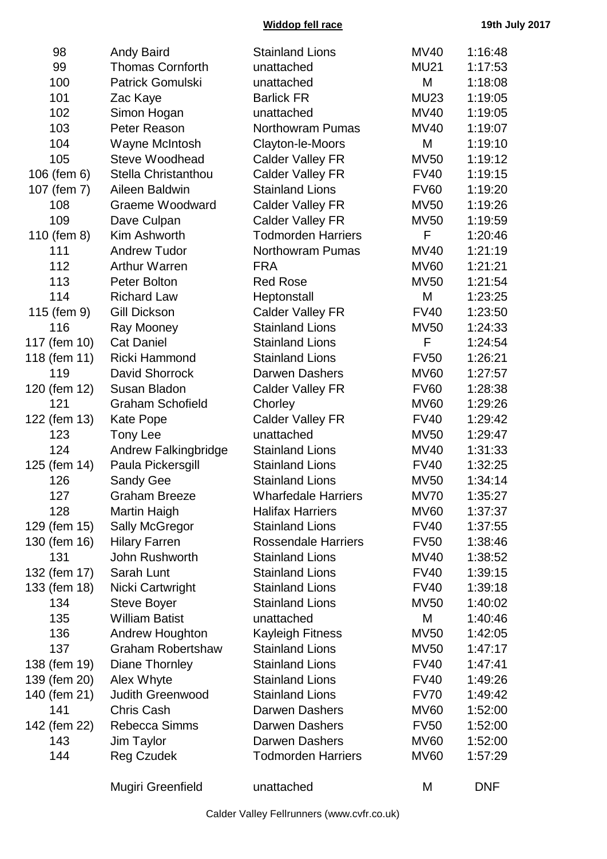**Widdop fell race 19th July 2017**

| 98           | <b>Andy Baird</b>           | <b>Stainland Lions</b>           | <b>MV40</b> | 1:16:48    |
|--------------|-----------------------------|----------------------------------|-------------|------------|
| 99           | <b>Thomas Cornforth</b>     | unattached                       | <b>MU21</b> | 1:17:53    |
| 100          | Patrick Gomulski            | unattached                       | M           | 1:18:08    |
| 101          | Zac Kaye                    | <b>Barlick FR</b><br><b>MU23</b> |             | 1:19:05    |
| 102          | Simon Hogan                 | unattached                       |             | 1:19:05    |
| 103          | Peter Reason                | <b>Northowram Pumas</b>          | <b>MV40</b> | 1:19:07    |
| 104          | Wayne McIntosh              | Clayton-le-Moors                 | M           | 1:19:10    |
| 105          | Steve Woodhead              | <b>Calder Valley FR</b>          | <b>MV50</b> | 1:19:12    |
| 106 (fem 6)  | <b>Stella Christanthou</b>  | <b>Calder Valley FR</b>          | <b>FV40</b> | 1:19:15    |
| 107 (fem 7)  | Aileen Baldwin              | <b>Stainland Lions</b>           | <b>FV60</b> | 1:19:20    |
| 108          | Graeme Woodward             | <b>Calder Valley FR</b>          | <b>MV50</b> | 1:19:26    |
| 109          | Dave Culpan                 | <b>Calder Valley FR</b>          | <b>MV50</b> | 1:19:59    |
| 110 (fem 8)  | Kim Ashworth                | <b>Todmorden Harriers</b>        | F           | 1:20:46    |
| 111          | <b>Andrew Tudor</b>         | <b>Northowram Pumas</b>          | <b>MV40</b> | 1:21:19    |
| 112          | <b>Arthur Warren</b>        | <b>FRA</b>                       | <b>MV60</b> | 1:21:21    |
| 113          | Peter Bolton                | <b>Red Rose</b>                  | <b>MV50</b> | 1:21:54    |
| 114          | <b>Richard Law</b>          | Heptonstall                      | M           | 1:23:25    |
| 115 (fem 9)  | <b>Gill Dickson</b>         | <b>Calder Valley FR</b>          | <b>FV40</b> | 1:23:50    |
| 116          | Ray Mooney                  | <b>Stainland Lions</b>           | <b>MV50</b> | 1:24:33    |
| 117 (fem 10) | <b>Cat Daniel</b>           | <b>Stainland Lions</b>           | F           | 1:24:54    |
| 118 (fem 11) | Ricki Hammond               | <b>Stainland Lions</b>           | <b>FV50</b> | 1:26:21    |
| 119          | David Shorrock              | Darwen Dashers                   | <b>MV60</b> | 1:27:57    |
| 120 (fem 12) | Susan Bladon                | <b>Calder Valley FR</b>          | <b>FV60</b> | 1:28:38    |
| 121          | <b>Graham Schofield</b>     | Chorley                          | <b>MV60</b> | 1:29:26    |
| 122 (fem 13) | <b>Kate Pope</b>            | <b>Calder Valley FR</b>          | <b>FV40</b> | 1:29:42    |
| 123          | Tony Lee                    | unattached                       | <b>MV50</b> | 1:29:47    |
| 124          | <b>Andrew Falkingbridge</b> | <b>Stainland Lions</b>           | <b>MV40</b> | 1:31:33    |
| 125 (fem 14) | Paula Pickersgill           | <b>Stainland Lions</b>           | <b>FV40</b> | 1:32:25    |
| 126          | Sandy Gee                   | <b>Stainland Lions</b>           | <b>MV50</b> | 1:34:14    |
| 127          | <b>Graham Breeze</b>        | <b>Wharfedale Harriers</b>       | <b>MV70</b> | 1:35:27    |
| 128          | Martin Haigh                | <b>Halifax Harriers</b>          | <b>MV60</b> | 1:37:37    |
| 129 (fem 15) | Sally McGregor              | <b>Stainland Lions</b>           | <b>FV40</b> | 1:37:55    |
| 130 (fem 16) | <b>Hilary Farren</b>        | <b>Rossendale Harriers</b>       | <b>FV50</b> | 1:38:46    |
| 131          | John Rushworth              | <b>Stainland Lions</b>           | <b>MV40</b> | 1:38:52    |
| 132 (fem 17) | Sarah Lunt                  | <b>Stainland Lions</b>           | <b>FV40</b> | 1:39:15    |
| 133 (fem 18) | Nicki Cartwright            | <b>Stainland Lions</b>           | <b>FV40</b> | 1:39:18    |
| 134          | <b>Steve Boyer</b>          | <b>Stainland Lions</b>           | <b>MV50</b> | 1:40:02    |
| 135          | <b>William Batist</b>       | unattached                       | M           | 1:40:46    |
| 136          | <b>Andrew Houghton</b>      | <b>Kayleigh Fitness</b>          | <b>MV50</b> | 1:42:05    |
| 137          | <b>Graham Robertshaw</b>    | <b>Stainland Lions</b>           | <b>MV50</b> | 1:47:17    |
| 138 (fem 19) | Diane Thornley              | <b>Stainland Lions</b>           | <b>FV40</b> | 1:47:41    |
| 139 (fem 20) | Alex Whyte                  | <b>Stainland Lions</b>           | <b>FV40</b> | 1:49:26    |
| 140 (fem 21) | Judith Greenwood            | <b>Stainland Lions</b>           | <b>FV70</b> | 1:49:42    |
| 141          | Chris Cash                  | Darwen Dashers                   | <b>MV60</b> | 1:52:00    |
| 142 (fem 22) | Rebecca Simms               | <b>Darwen Dashers</b>            | <b>FV50</b> | 1:52:00    |
| 143          | Jim Taylor                  | Darwen Dashers                   | <b>MV60</b> | 1:52:00    |
| 144          | <b>Reg Czudek</b>           | <b>Todmorden Harriers</b>        | <b>MV60</b> | 1:57:29    |
|              | Mugiri Greenfield           | unattached                       | M           | <b>DNF</b> |

Calder Valley Fellrunners (www.cvfr.co.uk)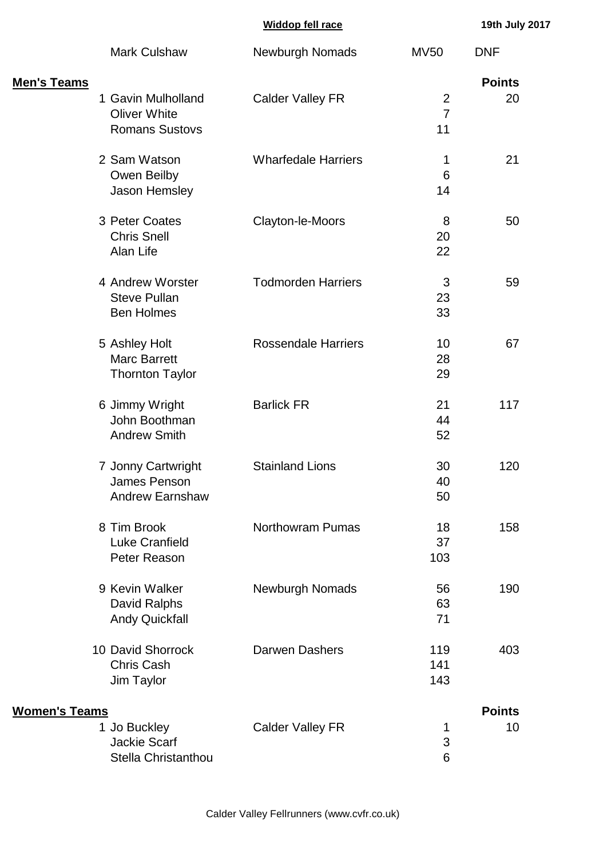|  |  | Widdop fell race |
|--|--|------------------|
|  |  |                  |

**Widdop fell race 19th July 2017**

|                       | <b>Mark Culshaw</b>                                                 | <b>Newburgh Nomads</b>     | <b>MV50</b>                            | <b>DNF</b>          |
|-----------------------|---------------------------------------------------------------------|----------------------------|----------------------------------------|---------------------|
| <u> Men's Teams</u>   | 1 Gavin Mulholland<br><b>Oliver White</b><br><b>Romans Sustovs</b>  | <b>Calder Valley FR</b>    | $\overline{2}$<br>$\overline{7}$<br>11 | <b>Points</b><br>20 |
|                       | 2 Sam Watson<br>Owen Beilby<br>Jason Hemsley                        | <b>Wharfedale Harriers</b> | 1<br>6<br>14                           | 21                  |
|                       | 3 Peter Coates<br><b>Chris Snell</b><br>Alan Life                   | Clayton-le-Moors           | 8<br>20<br>22                          | 50                  |
|                       | 4 Andrew Worster<br><b>Steve Pullan</b><br><b>Ben Holmes</b>        | <b>Todmorden Harriers</b>  | 3<br>23<br>33                          | 59                  |
|                       | 5 Ashley Holt<br><b>Marc Barrett</b><br><b>Thornton Taylor</b>      | <b>Rossendale Harriers</b> | 10<br>28<br>29                         | 67                  |
|                       | 6 Jimmy Wright<br>John Boothman<br><b>Andrew Smith</b>              | <b>Barlick FR</b>          | 21<br>44<br>52                         | 117                 |
|                       | 7 Jonny Cartwright<br><b>James Penson</b><br><b>Andrew Earnshaw</b> | <b>Stainland Lions</b>     | 30<br>40<br>50                         | 120                 |
|                       | 8 Tim Brook<br><b>Luke Cranfield</b><br>Peter Reason                | <b>Northowram Pumas</b>    | 18<br>37<br>103                        | 158                 |
|                       | 9 Kevin Walker<br>David Ralphs<br><b>Andy Quickfall</b>             | Newburgh Nomads            | 56<br>63<br>71                         | 190                 |
|                       | 10 David Shorrock<br><b>Chris Cash</b><br>Jim Taylor                | Darwen Dashers             | 119<br>141<br>143                      | 403                 |
| <u> Women's Teams</u> |                                                                     |                            |                                        | <b>Points</b>       |
|                       | 1 Jo Buckley<br><b>Jackie Scarf</b><br>Stella Christanthou          | <b>Calder Valley FR</b>    | 1<br>3<br>6                            | 10                  |